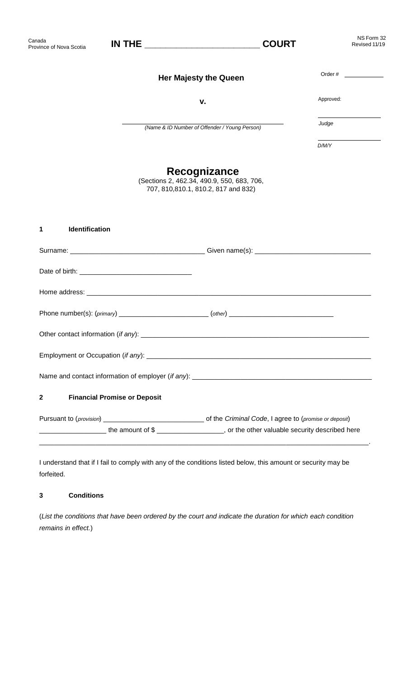| Canada<br>Province of Nova Scotia   |                                     | <b>COURT</b>                                                                                       | NS Form 32<br>Revised 11/19 |
|-------------------------------------|-------------------------------------|----------------------------------------------------------------------------------------------------|-----------------------------|
|                                     |                                     | <b>Her Majesty the Queen</b>                                                                       | Order $\#$                  |
|                                     |                                     | v.                                                                                                 | Approved:                   |
|                                     |                                     | (Name & ID Number of Offender / Young Person)                                                      | Judge                       |
|                                     |                                     |                                                                                                    | D/M/Y                       |
|                                     |                                     | Recognizance<br>(Sections 2, 462.34, 490.9, 550, 683, 706,<br>707, 810, 810.1, 810.2, 817 and 832) |                             |
| Identification<br>1                 |                                     |                                                                                                    |                             |
|                                     |                                     |                                                                                                    |                             |
|                                     |                                     |                                                                                                    |                             |
|                                     |                                     |                                                                                                    |                             |
|                                     |                                     |                                                                                                    |                             |
| Other contact information (if any): |                                     |                                                                                                    |                             |
|                                     |                                     |                                                                                                    |                             |
|                                     |                                     |                                                                                                    |                             |
| $\mathbf{2}$                        | <b>Financial Promise or Deposit</b> |                                                                                                    |                             |
|                                     |                                     |                                                                                                    |                             |
|                                     |                                     | the amount of \$                                                                                   |                             |

I understand that if I fail to comply with any of the conditions listed below, this amount or security may be forfeited.

\_\_\_\_\_\_\_\_\_\_\_\_\_\_\_\_\_\_\_\_\_\_\_\_\_\_\_\_\_\_\_\_\_\_\_\_\_\_\_\_\_\_\_\_\_\_\_\_\_\_\_\_\_\_\_\_\_\_\_\_\_\_\_\_\_\_\_\_\_\_\_\_\_\_\_\_\_\_\_\_\_\_\_\_\_\_\_\_.

# **3 Conditions**

(*List the conditions that have been ordered by the court and indicate the duration for which each condition remains in effect.*)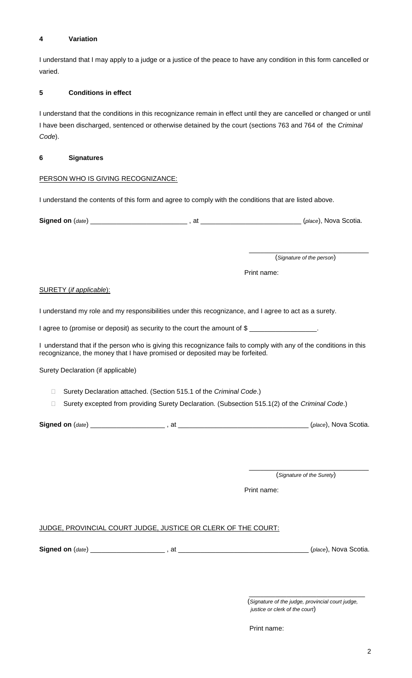### **4 Variation**

I understand that I may apply to a judge or a justice of the peace to have any condition in this form cancelled or varied.

### **5 Conditions in effect**

I understand that the conditions in this recognizance remain in effect until they are cancelled or changed or until I have been discharged, sentenced or otherwise detained by the court (sections 763 and 764 of the *Criminal Code*).

#### **6 Signatures**

### PERSON WHO IS GIVING RECOGNIZANCE:

I understand the contents of this form and agree to comply with the conditions that are listed above.

**Signed on** (*date*) \_\_\_\_\_\_\_\_\_\_\_\_\_\_\_\_\_\_\_\_\_\_\_\_\_\_ , at \_\_\_\_\_\_\_\_\_\_\_\_\_\_\_\_\_\_\_\_\_\_\_\_\_\_\_ (*place*), Nova Scotia.

\_\_\_\_\_\_\_\_\_\_\_\_\_\_\_\_\_\_\_\_\_\_\_\_\_\_\_\_\_\_\_\_ (*Signature of the person*)

Print name:

#### SURETY (*if applicable*):

I understand my role and my responsibilities under this recognizance, and I agree to act as a surety.

I agree to (promise or deposit) as security to the court the amount of \$

I understand that if the person who is giving this recognizance fails to comply with any of the conditions in this recognizance, the money that I have promised or deposited may be forfeited.

Surety Declaration (if applicable)

- Surety Declaration attached. (Section 515.1 of the *Criminal Code*.)
- Surety excepted from providing Surety Declaration. (Subsection 515.1(2) of the *Criminal Code*.)

**Signed on** (*date*) \_\_\_\_\_\_\_\_\_\_\_\_\_\_\_\_\_\_\_\_ , at \_\_\_\_\_\_\_\_\_\_\_\_\_\_\_\_\_\_\_\_\_\_\_\_\_\_\_\_\_\_\_\_\_\_\_ (*place*), Nova Scotia.

\_\_\_\_\_\_\_\_\_\_\_\_\_\_\_\_\_\_\_\_\_\_\_\_\_\_\_\_\_\_\_\_ (*Signature of the Surety*)

Print name:

# JUDGE, PROVINCIAL COURT JUDGE, JUSTICE OR CLERK OF THE COURT:

**Signed on** (*date*) \_\_\_\_\_\_\_\_\_\_\_\_\_\_\_\_\_\_\_\_ , at \_\_\_\_\_\_\_\_\_\_\_\_\_\_\_\_\_\_\_\_\_\_\_\_\_\_\_\_\_\_\_\_\_\_\_ (*place*), Nova Scotia.

\_\_\_\_\_\_\_\_\_\_\_\_\_\_\_\_\_\_\_\_\_\_\_\_\_\_\_\_\_\_\_

Print name:

<sup>(</sup>*Signature of the judge, provincial court judge, justice or clerk of the court*)